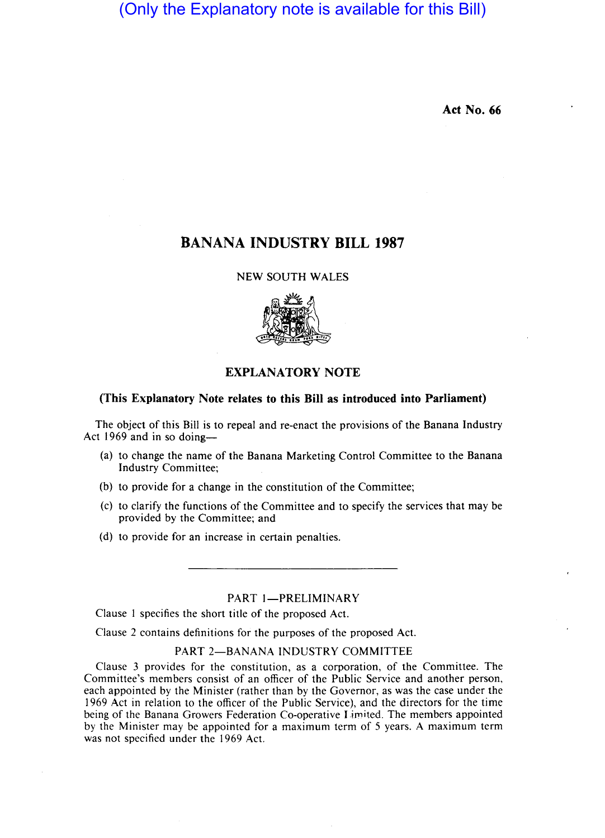(Only the Explanatory note is available for this Bill)

Act No. 66

# BANANA INDUSTRY **BILL 1987**

NEW SOUTH WALES



## EXPLANATORY NOTE

## (This Explanatory Note relates to this Bill as introduced into Parliament)

The object of this Bill is to repeal and re-enact the provisions of the Banana Industry Act 1969 and in so doing-

- (a) to change the name of the Banana Marketing Control Committee to the Banana Industry Committee;
- (b) to provide for a change in the constitution of the Committee;
- (c) to clarify the functions of the Committee and to specify the services that may be provided by the Committee; and
- (d) to provide for an increase in certain penalties.

## PART 1-PRELIMINARY

Clause I specifies the short title of the proposed Act.

Clause 2 contains definitions for the purposes of the proposed Act.

#### PART 2-BANANA INDUSTRY COMMITTEE

Clause 3 provides for the constitution, as a corporation, of the Committee. The Committee's members consist of an officer of the Public Service and another person, each appointed by the Minister (rather than by the Governor, as was the case under the 1969 Act in relation to the officer of the Public Service), and the directors for the time being of the Banana Growers Federation Co-operative I.imited. The members appointed by the Minister may be appointed for a maximum term of 5 years. A maximum term was not specified under the 1969 Act.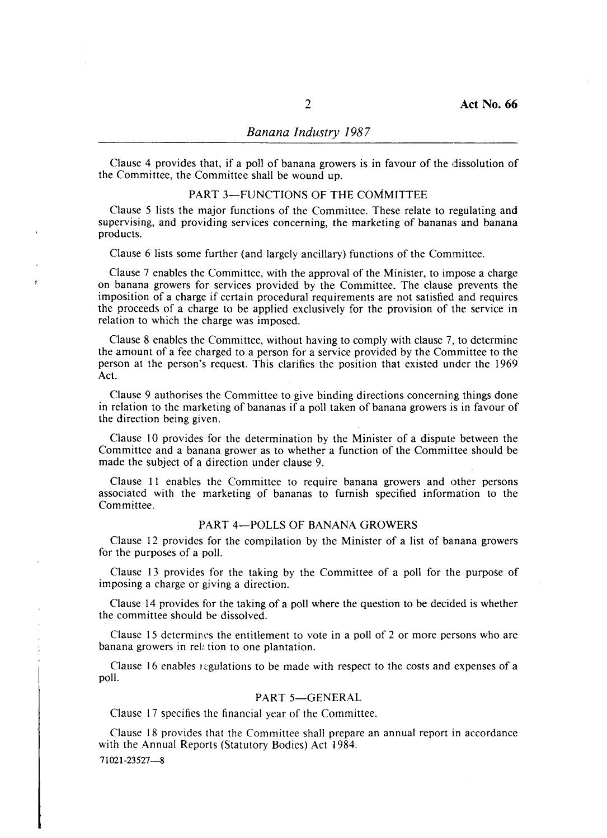### *Banana Industry 1987*

Clause 4 provides that, if a poll of banana growers is in favour of the dissolution of the Committee, the Committee shall be wound up.

## PART 3-FUNCTIONS OF THE COMMITTEE

Clause 5 lists the major functions of the Committee. These relate to regulating and supervising, and providing services concerning, the marketing of bananas and banana products.

Clause 6 lists some further (and largely ancillary) functions of the Committee.

Clause 7 enables the Committee, with the approval of the Minister, to impose a charge on banana growers for services provided by the Committee. The clause prevents the imposition of a charge if certain procedural requirements are not satisfied and requires the proceeds of a charge to be applied exclusively for the provision of the service in relation to which the charge was imposed.

Clause 8 enables the Committee, without having to comply with clause 7, to determine the amount of a fee charged to a person for a service provided by the Committee to the person at the person's request. This clarifies the position that existed under the 1969 Act.

Clause 9 authorises the Committee to give binding directions concerning things done in relation to the marketing of bananas if a poll taken of banana growers is in favour of the direction being given.

Clause 10 provides for the determination by the Minister of a dispute between the Committee and a banana grower as to whether a function of the Committee should be made the subject of a direction under clause 9.

Clause **II** enables the Committee to require banana growers and other persons associated with the marketing of bananas to furnish specified information to the Committee.

#### PART 4-POLLS OF BANANA GROWERS

Clause 12 provides for the compilation by the Minister of a list of banana growers for the purposes of a poll.

Clause 13 provides for the taking by the Committee of a poll for the purpose of imposing a charge or giving a direction.

Clause 14 provides for the taking of a poll where the question to be decided is whether the committee should be dissolved.

Clause 15 determines the entitlement to vote in a poll of 2 or more persons who are banana growers in relation to one plantation.

Clause 16 enables regulations to be made with respect to the costs and expenses of a poll.

#### PART 5-GENERAL

Clause 17 specifies the financial year of the Committee.

Clause 18 provides that the Committee shall prepare an annual report in accordance with the Annual Reports (Statutory Bodies) Act 1984.

71021-23527-8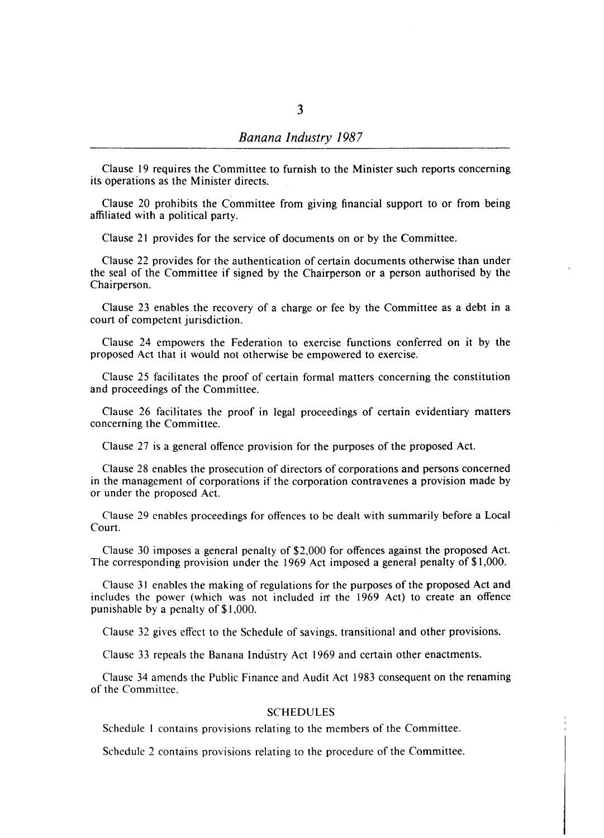Clause 19 requires the Committee to furnish to the Minister such reports concerning its operations as the Minister directs.

Clause 20 prohibits the Committee from giving financial support to or from being affiliated with a political party.

Clause 21 provides for the service of documents on or by the Committee.

Clause 22 provides for the authentication of certain documents otherwise than under the seal of the Committee if signed by the Chairperson or a person authorised by the Chairperson.

Clause 23 enables the recovery of a charge or fee by the Committee as a debt in a court of competent jurisdiction.

Clause 24 empowers the Federation to exercise functions conferred on it by the proposed Act that it would not otherwise be empowered to exercise.

Clause 25 facilitates the proof of certain formal matters concerning the constitution and proceedings of the Committee.

Clause 26 facilitates the proof in legal proceedings of certain evidentiary matters concerning the Committee.

Clause 27 is a general offence provision for the purposes of the proposed Act.

Clause 28 enables the prosecution of directors of corporations and persons concerned in the management of corporations if the corporation contravenes a provision made by or under the proposed Act.

Clause 29 enables proceedings for offences to be dealt with summarily before a Local Court.

Clause 30 imposes a general penalty of \$2,000 for offences against the proposed Act. The corresponding provision under the 1969 Act imposed a general penalty of \$1,000.

Clause 31 enables the making of regulations for the purposes of the proposed Act and includes the power (which was not included in' the 1969 Act) to create an offence punishable by a penalty of \$1 ,000.

Clause 32 gives effect to the Schedule of savings. transitional and other provisions.

Clause 33 repeals the Banana Industry Act 1969 and certain other enactments.

Clause 34 amends the Public Finance and Audit Act 1983 consequent on the renaming of the Committee.

#### SCHEDULES

Schedule I contains provisions relating to the members of the Committee.

Schedule 2 contains provisions relating to the procedure of the Committee.